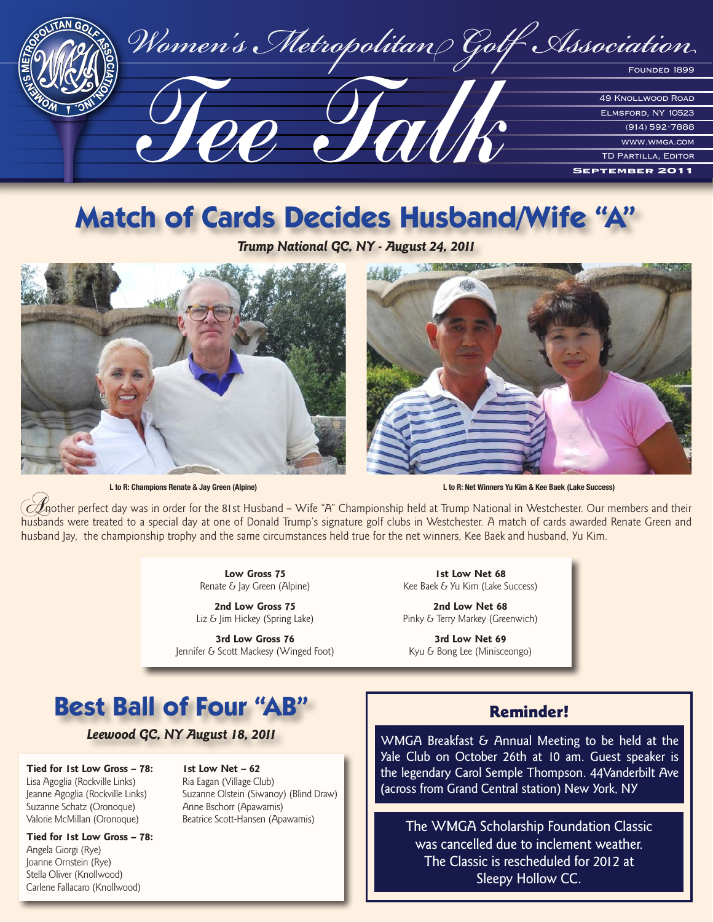

# **Match of Cards Decides Husband/Wife "A"**

*Trump National GC, NY - August 24, 2011* 





**L to R: Champions Renate & Jay Green (Alpine) L to R: Net Winners Yu Kim & Kee Baek (Lake Success)**

 $\mathscr A$ nother perfect day was in order for the 81st Husband – Wife "A" Championship held at Trump National in Westchester. Our members and their husbands were treated to a special day at one of Donald Trump's signature golf clubs in Westchester. A match of cards awarded Renate Green and husband Jay, the championship trophy and the same circumstances held true for the net winners, Kee Baek and husband, Yu Kim.

**2nd Low Gross 75 2nd Low Net 68**<br>Liz & Jim Hickey (Spring Lake) **2nd Low Net 68**<br>Pinky & Terry Markey (Gree

**3rd Low Gross 76 3rd Low Net 69** Jennifer & Scott Mackesy (Winged Foot) Kyu & Bong Lee (Minisceongo)

Low Gross 75 1st Low Net 68 Renate & Jay Green (Alpine) Kee Baek & Yu Kim (Lake Success)

Pinky & Terry Markey (Greenwich)

## **Best Ball of Four "AB"**

*Leewood GC, NY August 18, 2011*

**Tied for 1st Low Gross – 78: 1st Low Net – 62** Lisa Agoglia (Rockville Links) Ria Eagan (Village Club) Suzanne Schatz (Oronoque) Anne Bschorr (Apawamis) Valorie McMillan (Oronoque) Beatrice Scott-Hansen (Apawamis)

**Tied for 1st Low Gross – 78:** Angela Giorgi (Rye) Joanne Ornstein (Rye) Stella Oliver (Knollwood) Carlene Fallacaro (Knollwood)

Jeanne Agoglia (Rockville Links) Suzanne Olstein (Siwanoy) (Blind Draw)

### Reminder!

WMGA Breakfast & Annual Meeting to be held at the Yale Club on October 26th at 10 am. Guest speaker is the legendary Carol Semple Thompson. 44Vanderbilt Ave (across from Grand Central station) New York, NY

The WMGA Scholarship Foundation Classic was cancelled due to inclement weather. The Classic is rescheduled for 2012 at Sleepy Hollow CC.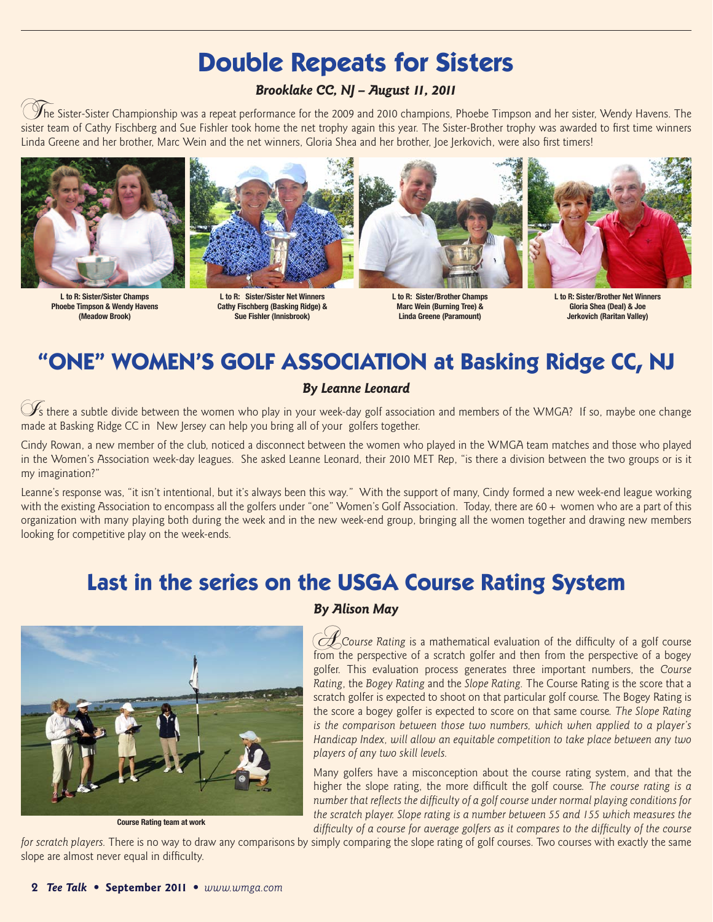### **Double Repeats for Sisters**

#### *Brooklake CC, NJ – August 11, 2011*

 $\mathscr I$ he Sister-Sister Championship was a repeat performance for the 2009 and 2010 champions, Phoebe Timpson and her sister, Wendy Havens. The sister team of Cathy Fischberg and Sue Fishler took home the net trophy again this year. The Sister-Brother trophy was awarded to first time winners Linda Greene and her brother, Marc Wein and the net winners, Gloria Shea and her brother, Joe Jerkovich, were also first timers!





**L to R: Sister/Sister Champs L to R: Sister/Sister Net Winners L to R: Sister/Brother Champs L to R: Sister/Brother Net Winners Cathy Fischberg (Basking Ridge) & Sue Fishler (Innisbrook) (Meadow Brook) Sue Fishler (Innisbrook) Linda Greene (Paramount) Jerkovich (Raritan Valley)**





### **"ONE" WOMEN'S GOLF ASSOCIATION at Basking Ridge CC, NJ**

#### *By Leanne Leonard*

 $\mathscr{F}_s$  there a subtle divide between the women who play in your week-day golf association and members of the WMGA? If so, maybe one change made at Basking Ridge CC in New Jersey can help you bring all of your golfers together.

Cindy Rowan, a new member of the club, noticed a disconnect between the women who played in the WMGA team matches and those who played in the Women's Association week-day leagues. She asked Leanne Leonard, their 2010 MET Rep, "is there a division between the two groups or is it my imagination?"

Leanne's response was, "it isn't intentional, but it's always been this way." With the support of many, Cindy formed a new week-end league working with the existing Association to encompass all the golfers under "one" Women's Golf Association. Today, there are  $60 +$  women who are a part of this organization with many playing both during the week and in the new week-end group, bringing all the women together and drawing new members looking for competitive play on the week-ends.

### **Last in the series on the USGA Course Rating System**



*By Alison May*

A*Course Rating* is a mathematical evaluation of the difficulty of a golf course from the perspective of a scratch golfer and then from the perspective of a bogey golfer. This evaluation process generates three important numbers, the *Course Rating*, the *Bogey Rating* and the *Slope Rating.* The Course Rating is the score that a scratch golfer is expected to shoot on that particular golf course. The Bogey Rating is the score a bogey golfer is expected to score on that same course. *The Slope Rating is the comparison between those two numbers, which when applied to a player's Handicap Index, will allow an equitable competition to take place between any two players of any two skill levels.* 

Many golfers have a misconception about the course rating system, and that the higher the slope rating, the more difficult the golf course. *The course rating is a number that reflects the difficulty of a golf course under normal playing conditions for the scratch player. Slope rating is a number between 55 and 155 which measures the difficulty of a course for average golfers as it compares to the difficulty of the course* 

*for scratch players.* There is no way to draw any comparisons by simply comparing the slope rating of golf courses. Two courses with exactly the same slope are almost never equal in difficulty.